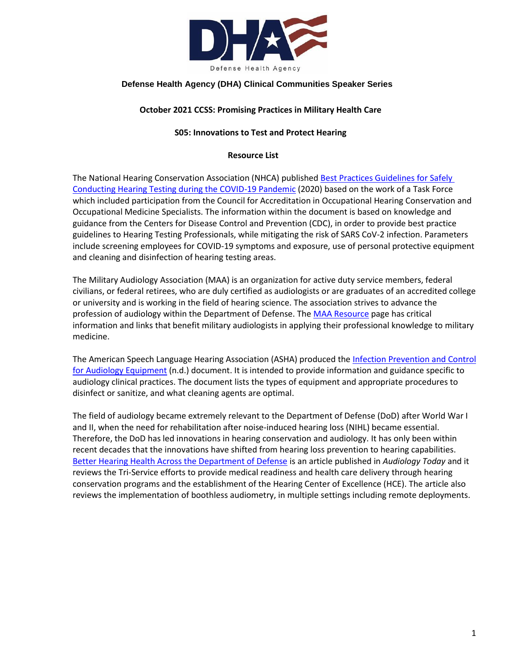

## **Defense Health Agency (DHA) Clinical Communities Speaker Series**

## **October 2021 CCSS: Promising Practices in Military Health Care**

## **S05: Innovations to Test and Protect Hearing**

### **Resource List**

The National Hearing Conservation Association (NHCA) publishe[d Best Practices Guidelines for Safely](http://militaryaudiology.org/wp-content/uploads/2020/07/NHCA-TF-COVID-19-Guidelines.pdf)  [Conducting Hearing Testing during the COVID-19 Pandemic](http://militaryaudiology.org/wp-content/uploads/2020/07/NHCA-TF-COVID-19-Guidelines.pdf) (2020) based on the work of a Task Force which included participation from the Council for Accreditation in Occupational Hearing Conservation and Occupational Medicine Specialists. The information within the document is based on knowledge and guidance from the Centers for Disease Control and Prevention (CDC), in order to provide best practice guidelines to Hearing Testing Professionals, while mitigating the risk of SARS CoV-2 infection. Parameters include screening employees for COVID-19 symptoms and exposure, use of personal protective equipment and cleaning and disinfection of hearing testing areas.

The Military Audiology Association (MAA) is an organization for active duty service members, federal civilians, or federal retirees, who are duly certified as audiologists or are graduates of an accredited college or university and is working in the field of hearing science. The association strives to advance the profession of audiology within the Department of Defense. The [MAA Resource](http://militaryaudiology.org/resources/) page has critical information and links that benefit military audiologists in applying their professional knowledge to military medicine.

The American Speech Language Hearing Association (ASHA) produced th[e Infection Prevention and Control](https://www.asha.org/aud/educational-audiologist-resources-for-physical-and-virtual-reopening/)  [for Audiology Equipment](https://www.asha.org/aud/educational-audiologist-resources-for-physical-and-virtual-reopening/) (n.d.) document. It is intended to provide information and guidance specific to audiology clinical practices. The document lists the types of equipment and appropriate procedures to disinfect or sanitize, and what cleaning agents are optimal.

The field of audiology became extremely relevant to the Department of Defense (DoD) after World War I and II, when the need for rehabilitation after noise-induced hearing loss (NIHL) became essential. Therefore, the DoD has led innovations in hearing conservation and audiology. It has only been within recent decades that the innovations have shifted from hearing loss prevention to hearing capabilities. [Better Hearing Health Across the Department of Defense](https://www.audiology.org/news-and-publications/audiology-today/articles/better-hearing-health-across-the-department-of-defense/) is an article published in *Audiology Today* and it reviews the Tri-Service efforts to provide medical readiness and health care delivery through hearing conservation programs and the establishment of the Hearing Center of Excellence (HCE). The article also reviews the implementation of boothless audiometry, in multiple settings including remote deployments.